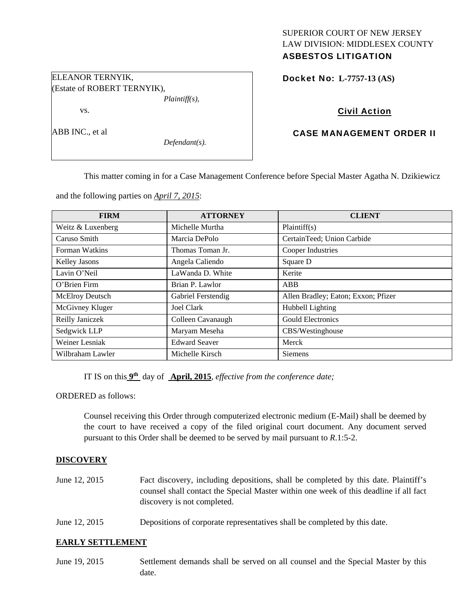# SUPERIOR COURT OF NEW JERSEY LAW DIVISION: MIDDLESEX COUNTY ASBESTOS LITIGATION

Docket No: **L-7757-13 (AS)** 

# Civil Action

# CASE MANAGEMENT ORDER II

This matter coming in for a Case Management Conference before Special Master Agatha N. Dzikiewicz

and the following parties on *April 7, 2015*:

| <b>FIRM</b>            | <b>ATTORNEY</b>      | <b>CLIENT</b>                       |
|------------------------|----------------------|-------------------------------------|
| Weitz & Luxenberg      | Michelle Murtha      | Plaintiff(s)                        |
| Caruso Smith           | Marcia DePolo        | CertainTeed; Union Carbide          |
| Forman Watkins         | Thomas Toman Jr.     | Cooper Industries                   |
| Kelley Jasons          | Angela Caliendo      | Square D                            |
| Lavin O'Neil           | LaWanda D. White     | Kerite                              |
| O'Brien Firm           | Brian P. Lawlor      | ABB                                 |
| <b>McElroy Deutsch</b> | Gabriel Ferstendig   | Allen Bradley; Eaton; Exxon; Pfizer |
| McGivney Kluger        | <b>Joel Clark</b>    | Hubbell Lighting                    |
| Reilly Janiczek        | Colleen Cavanaugh    | <b>Gould Electronics</b>            |
| Sedgwick LLP           | Maryam Meseha        | CBS/Westinghouse                    |
| Weiner Lesniak         | <b>Edward Seaver</b> | Merck                               |
| Wilbraham Lawler       | Michelle Kirsch      | Siemens                             |

IT IS on this **9th** day of **April, 2015**, *effective from the conference date;*

ORDERED as follows:

Counsel receiving this Order through computerized electronic medium (E-Mail) shall be deemed by the court to have received a copy of the filed original court document. Any document served pursuant to this Order shall be deemed to be served by mail pursuant to *R*.1:5-2.

## **DISCOVERY**

- June 12, 2015 Fact discovery, including depositions, shall be completed by this date. Plaintiff's counsel shall contact the Special Master within one week of this deadline if all fact discovery is not completed.
- June 12, 2015 Depositions of corporate representatives shall be completed by this date.

## **EARLY SETTLEMENT**

June 19, 2015 Settlement demands shall be served on all counsel and the Special Master by this date.

ABB INC., et al

vs.

ELEANOR TERNYIK,

(Estate of ROBERT TERNYIK),

*Defendant(s).* 

*Plaintiff(s),*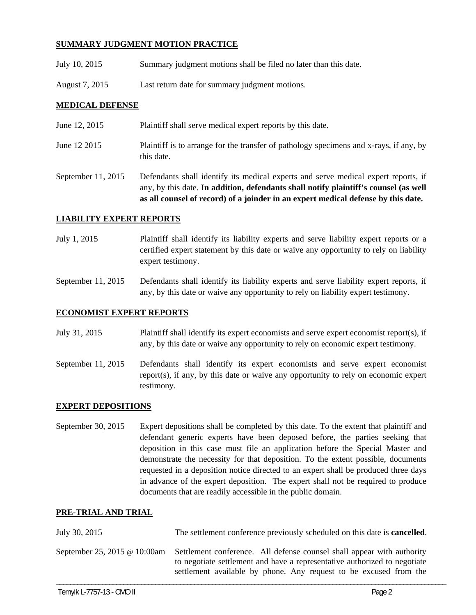# **SUMMARY JUDGMENT MOTION PRACTICE**

- July 10, 2015 Summary judgment motions shall be filed no later than this date.
- August 7, 2015 Last return date for summary judgment motions.

# **MEDICAL DEFENSE**

- June 12, 2015 Plaintiff shall serve medical expert reports by this date.
- June 12 2015 Plaintiff is to arrange for the transfer of pathology specimens and x-rays, if any, by this date.
- September 11, 2015 Defendants shall identify its medical experts and serve medical expert reports, if any, by this date. **In addition, defendants shall notify plaintiff's counsel (as well as all counsel of record) of a joinder in an expert medical defense by this date.**

## **LIABILITY EXPERT REPORTS**

- July 1, 2015 Plaintiff shall identify its liability experts and serve liability expert reports or a certified expert statement by this date or waive any opportunity to rely on liability expert testimony.
- September 11, 2015 Defendants shall identify its liability experts and serve liability expert reports, if any, by this date or waive any opportunity to rely on liability expert testimony.

## **ECONOMIST EXPERT REPORTS**

- July 31, 2015 Plaintiff shall identify its expert economists and serve expert economist report(s), if any, by this date or waive any opportunity to rely on economic expert testimony.
- September 11, 2015 Defendants shall identify its expert economists and serve expert economist report(s), if any, by this date or waive any opportunity to rely on economic expert testimony.

## **EXPERT DEPOSITIONS**

September 30, 2015 Expert depositions shall be completed by this date. To the extent that plaintiff and defendant generic experts have been deposed before, the parties seeking that deposition in this case must file an application before the Special Master and demonstrate the necessity for that deposition. To the extent possible, documents requested in a deposition notice directed to an expert shall be produced three days in advance of the expert deposition. The expert shall not be required to produce documents that are readily accessible in the public domain.

## **PRE-TRIAL AND TRIAL**

| July 30, 2015                | The settlement conference previously scheduled on this date is <b>cancelled</b> .                                                                                                                                        |  |
|------------------------------|--------------------------------------------------------------------------------------------------------------------------------------------------------------------------------------------------------------------------|--|
| September 25, 2015 @ 10:00am | Settlement conference. All defense counsel shall appear with authority<br>to negotiate settlement and have a representative authorized to negotiate<br>settlement available by phone. Any request to be excused from the |  |